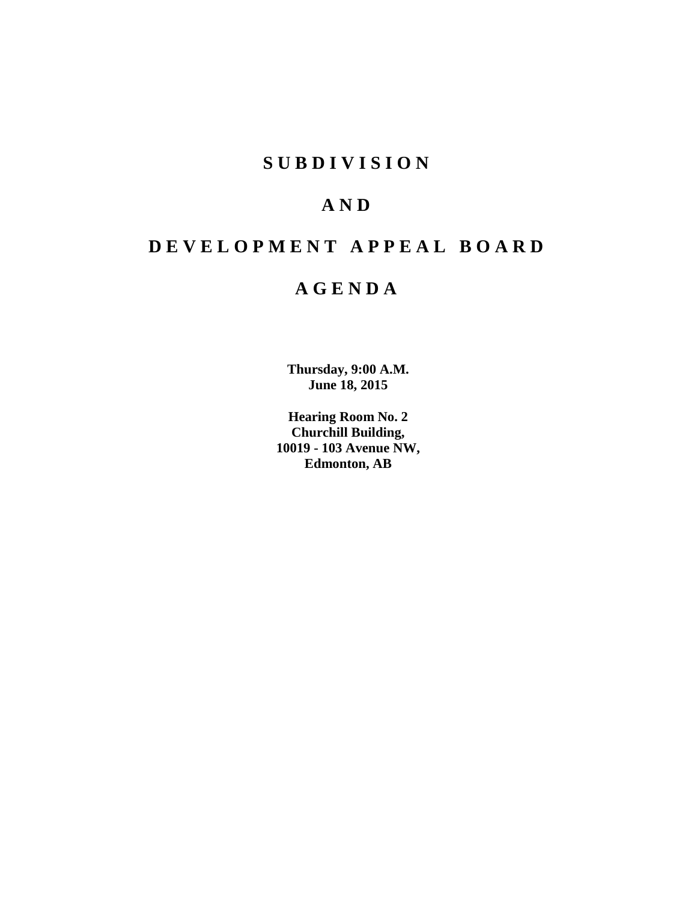# **SUBDIVISION**

# **AND**

# **DEVELOPMENT APPEAL BOARD**

# **AGENDA**

**Thursday, 9:00 A.M. June 18, 2015**

**Hearing Room No. 2 Churchill Building, 10019 - 103 Avenue NW, Edmonton, AB**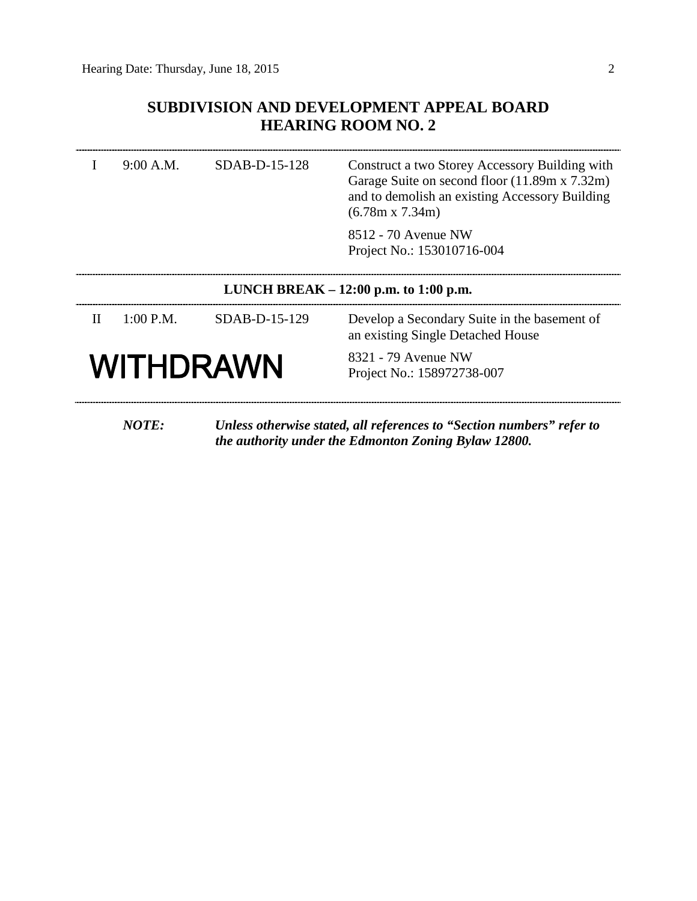## **SUBDIVISION AND DEVELOPMENT APPEAL BOARD HEARING ROOM NO. 2**

|                                         | 9:00 A.M.   | SDAB-D-15-128 | Construct a two Storey Accessory Building with<br>Garage Suite on second floor (11.89m x 7.32m)<br>and to demolish an existing Accessory Building<br>$(6.78m \times 7.34m)$ |  |
|-----------------------------------------|-------------|---------------|-----------------------------------------------------------------------------------------------------------------------------------------------------------------------------|--|
|                                         |             |               | 8512 - 70 Avenue NW<br>Project No.: 153010716-004                                                                                                                           |  |
| LUNCH BREAK $- 12:00$ p.m. to 1:00 p.m. |             |               |                                                                                                                                                                             |  |
| $_{\rm II}$                             | $1:00$ P.M. | SDAB-D-15-129 | Develop a Secondary Suite in the basement of<br>an existing Single Detached House                                                                                           |  |
|                                         | WITHDRAWN   |               | 8321 - 79 Avenue NW<br>Project No.: 158972738-007                                                                                                                           |  |
|                                         |             |               |                                                                                                                                                                             |  |

*NOTE: Unless otherwise stated, all references to "Section numbers" refer to the authority under the Edmonton Zoning Bylaw 12800.*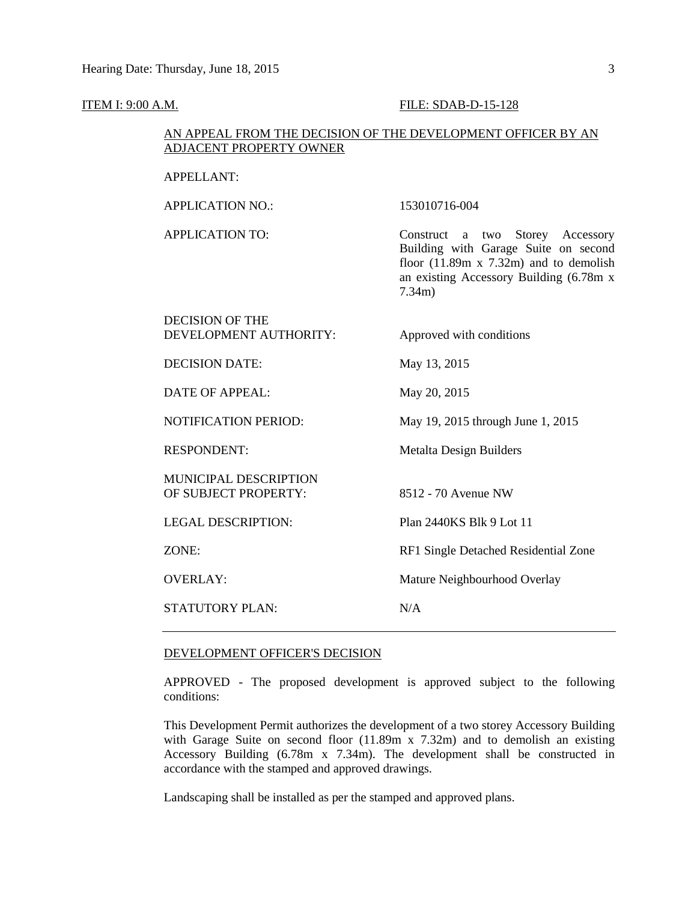#### **ITEM I: 9:00 A.M. FILE: SDAB-D-15-128**

#### AN APPEAL FROM THE DECISION OF THE DEVELOPMENT OFFICER BY AN ADJACENT PROPERTY OWNER

## APPELLANT:

APPLICATION NO.: 153010716-004 APPLICATION TO: Construct a two Storey Accessory Building with Garage Suite on second floor  $(11.89m \times 7.32m)$  and to demolish an existing Accessory Building (6.78m x 7.34m) DECISION OF THE DEVELOPMENT AUTHORITY: Approved with conditions DECISION DATE: May 13, 2015 DATE OF APPEAL: May 20, 2015 NOTIFICATION PERIOD: May 19, 2015 through June 1, 2015 RESPONDENT: Metalta Design Builders MUNICIPAL DESCRIPTION OF SUBJECT PROPERTY: 8512 - 70 Avenue NW LEGAL DESCRIPTION: Plan 2440KS Blk 9 Lot 11 ZONE: RF1 Single Detached Residential Zone OVERLAY: Mature Neighbourhood Overlay STATUTORY PLAN: N/A

#### DEVELOPMENT OFFICER'S DECISION

APPROVED - The proposed development is approved subject to the following conditions:

This Development Permit authorizes the development of a two storey Accessory Building with Garage Suite on second floor (11.89m x 7.32m) and to demolish an existing Accessory Building (6.78m x 7.34m). The development shall be constructed in accordance with the stamped and approved drawings.

Landscaping shall be installed as per the stamped and approved plans.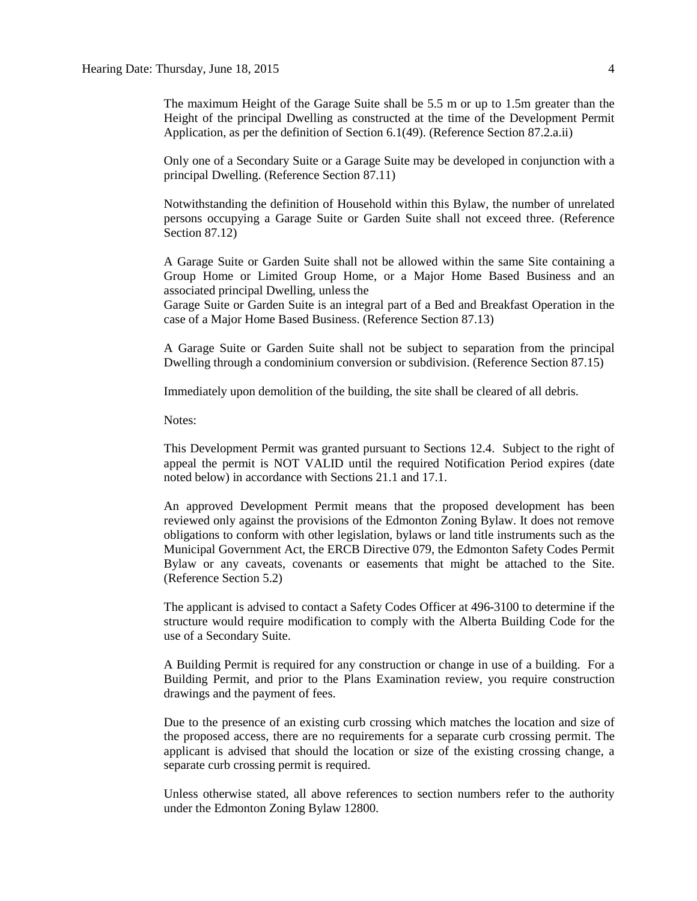The maximum Height of the Garage Suite shall be 5.5 m or up to 1.5m greater than the Height of the principal Dwelling as constructed at the time of the Development Permit Application, as per the definition of Section 6.1(49). (Reference Section 87.2.a.ii)

Only one of a Secondary Suite or a Garage Suite may be developed in conjunction with a principal Dwelling. (Reference Section 87.11)

Notwithstanding the definition of Household within this Bylaw, the number of unrelated persons occupying a Garage Suite or Garden Suite shall not exceed three. (Reference Section 87.12)

A Garage Suite or Garden Suite shall not be allowed within the same Site containing a Group Home or Limited Group Home, or a Major Home Based Business and an associated principal Dwelling, unless the

Garage Suite or Garden Suite is an integral part of a Bed and Breakfast Operation in the case of a Major Home Based Business. (Reference Section 87.13)

A Garage Suite or Garden Suite shall not be subject to separation from the principal Dwelling through a condominium conversion or subdivision. (Reference Section 87.15)

Immediately upon demolition of the building, the site shall be cleared of all debris.

Notes:

This Development Permit was granted pursuant to Sections 12.4. Subject to the right of appeal the permit is NOT VALID until the required Notification Period expires (date noted below) in accordance with Sections 21.1 and 17.1.

An approved Development Permit means that the proposed development has been reviewed only against the provisions of the Edmonton Zoning Bylaw. It does not remove obligations to conform with other legislation, bylaws or land title instruments such as the Municipal Government Act, the ERCB Directive 079, the Edmonton Safety Codes Permit Bylaw or any caveats, covenants or easements that might be attached to the Site. (Reference Section 5.2)

The applicant is advised to contact a Safety Codes Officer at 496-3100 to determine if the structure would require modification to comply with the Alberta Building Code for the use of a Secondary Suite.

A Building Permit is required for any construction or change in use of a building. For a Building Permit, and prior to the Plans Examination review, you require construction drawings and the payment of fees.

Due to the presence of an existing curb crossing which matches the location and size of the proposed access, there are no requirements for a separate curb crossing permit. The applicant is advised that should the location or size of the existing crossing change, a separate curb crossing permit is required.

Unless otherwise stated, all above references to section numbers refer to the authority under the Edmonton Zoning Bylaw 12800.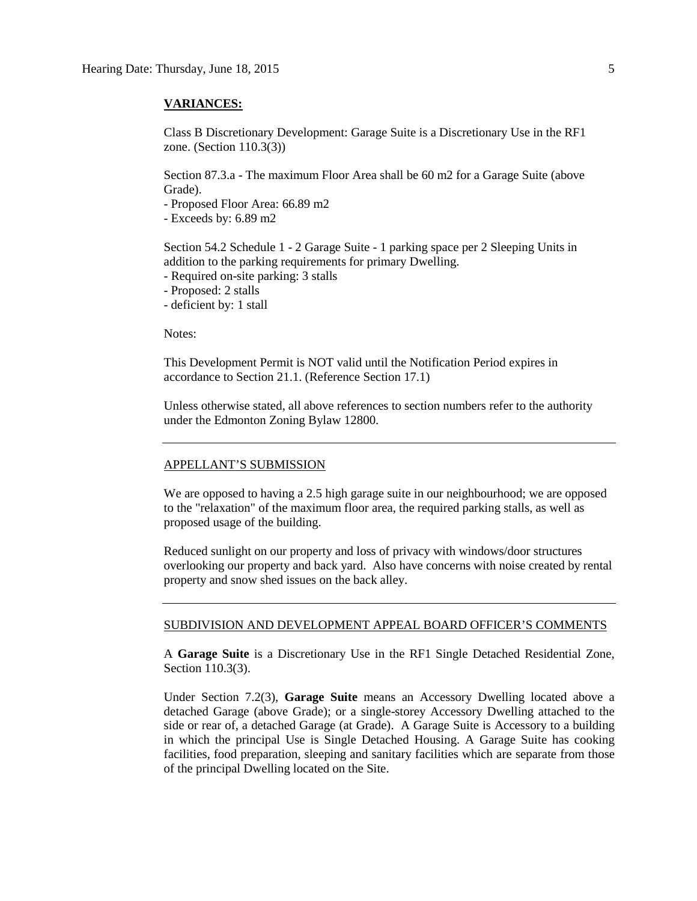#### **VARIANCES:**

Class B Discretionary Development: Garage Suite is a Discretionary Use in the RF1 zone. (Section 110.3(3))

Section 87.3.a - The maximum Floor Area shall be 60 m2 for a Garage Suite (above Grade).

- Proposed Floor Area: 66.89 m2

- Exceeds by: 6.89 m2

Section 54.2 Schedule 1 - 2 Garage Suite - 1 parking space per 2 Sleeping Units in addition to the parking requirements for primary Dwelling.

- Required on-site parking: 3 stalls

- Proposed: 2 stalls

- deficient by: 1 stall

Notes:

This Development Permit is NOT valid until the Notification Period expires in accordance to Section 21.1. (Reference Section 17.1)

Unless otherwise stated, all above references to section numbers refer to the authority under the Edmonton Zoning Bylaw 12800.

#### APPELLANT'S SUBMISSION

We are opposed to having a 2.5 high garage suite in our neighbourhood; we are opposed to the "relaxation" of the maximum floor area, the required parking stalls, as well as proposed usage of the building.

Reduced sunlight on our property and loss of privacy with windows/door structures overlooking our property and back yard. Also have concerns with noise created by rental property and snow shed issues on the back alley.

#### SUBDIVISION AND DEVELOPMENT APPEAL BOARD OFFICER'S COMMENTS

A **Garage Suite** is a Discretionary Use in the RF1 Single Detached Residential Zone, Section 110.3(3).

Under Section 7.2(3), **Garage Suite** means an Accessory Dwelling located above a detached Garage (above Grade); or a single-storey Accessory Dwelling attached to the side or rear of, a detached Garage (at Grade). A Garage Suite is Accessory to a building in which the principal Use is Single Detached Housing. A Garage Suite has cooking facilities, food preparation, sleeping and sanitary facilities which are separate from those of the principal Dwelling located on the Site.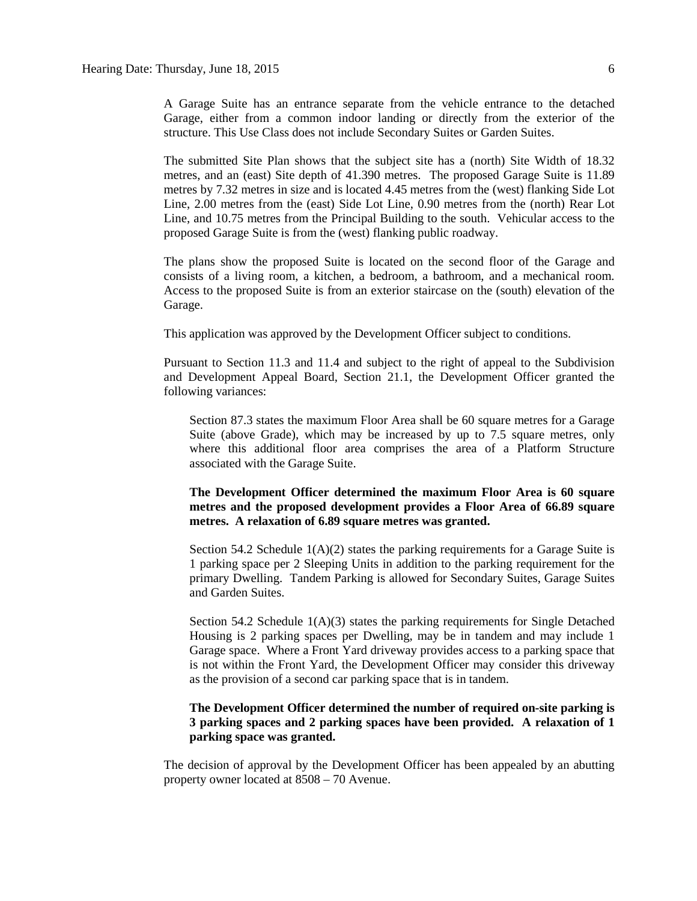A Garage Suite has an entrance separate from the vehicle entrance to the detached Garage, either from a common indoor landing or directly from the exterior of the structure. This Use Class does not include Secondary Suites or Garden Suites.

The submitted Site Plan shows that the subject site has a (north) Site Width of 18.32 metres, and an (east) Site depth of 41.390 metres. The proposed Garage Suite is 11.89 metres by 7.32 metres in size and is located 4.45 metres from the (west) flanking Side Lot Line, 2.00 metres from the (east) Side Lot Line, 0.90 metres from the (north) Rear Lot Line, and 10.75 metres from the Principal Building to the south. Vehicular access to the proposed Garage Suite is from the (west) flanking public roadway.

The plans show the proposed Suite is located on the second floor of the Garage and consists of a living room, a kitchen, a bedroom, a bathroom, and a mechanical room. Access to the proposed Suite is from an exterior staircase on the (south) elevation of the Garage.

This application was approved by the Development Officer subject to conditions.

Pursuant to Section 11.3 and 11.4 and subject to the right of appeal to the Subdivision and Development Appeal Board, Section 21.1, the Development Officer granted the following variances:

Section 87.3 states the maximum Floor Area shall be 60 square metres for a Garage Suite (above Grade), which may be increased by up to 7.5 square metres, only where this additional floor area comprises the area of a Platform Structure associated with the Garage Suite.

**The Development Officer determined the maximum Floor Area is 60 square metres and the proposed development provides a Floor Area of 66.89 square metres. A relaxation of 6.89 square metres was granted.**

Section 54.2 Schedule  $1(A)(2)$  states the parking requirements for a Garage Suite is 1 parking space per 2 Sleeping Units in addition to the parking requirement for the primary Dwelling. Tandem Parking is allowed for Secondary Suites, Garage Suites and Garden Suites.

Section 54.2 Schedule  $1(A)(3)$  states the parking requirements for Single Detached Housing is 2 parking spaces per Dwelling, may be in tandem and may include 1 Garage space. Where a Front Yard driveway provides access to a parking space that is not within the Front Yard, the Development Officer may consider this driveway as the provision of a second car parking space that is in tandem.

#### **The Development Officer determined the number of required on-site parking is 3 parking spaces and 2 parking spaces have been provided. A relaxation of 1 parking space was granted.**

The decision of approval by the Development Officer has been appealed by an abutting property owner located at 8508 – 70 Avenue.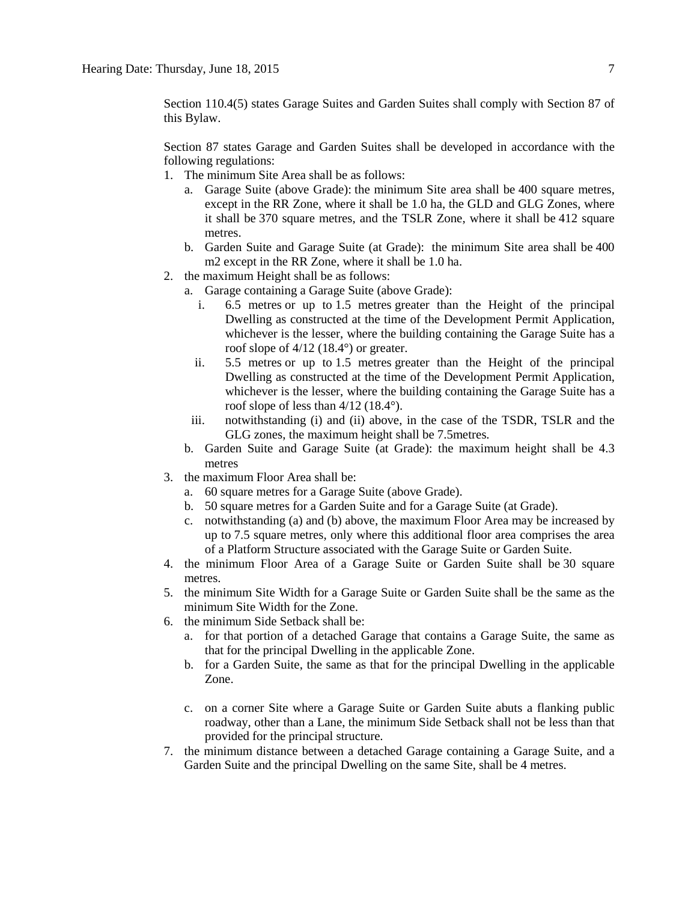Section 110.4(5) states Garage Suites and Garden Suites shall comply with Section 87 of this Bylaw.

Section 87 states Garage and Garden Suites shall be developed in accordance with the following regulations:

- 1. The minimum Site Area shall be as follows:
	- a. Garage Suite (above Grade): the minimum Site area shall be 400 square metres, except in the RR Zone, where it shall be 1.0 ha, the GLD and GLG Zones, where it shall be 370 square metres, and the TSLR Zone, where it shall be 412 square metres.
	- b. Garden Suite and Garage Suite (at Grade): the minimum Site area shall be [400](javascript:BSSCPopup()  [m2](javascript:BSSCPopup() except in the RR Zone, where it shall be 1.0 ha.
- 2. the maximum Height shall be as follows:
	- a. Garage containing a Garage Suite (above Grade):
		- i. [6.5 me](javascript:BSSCPopup()tres or up to [1.5 me](javascript:BSSCPopup()tres greater than the Height of the principal Dwelling as constructed at the time of the Development Permit Application, whichever is the lesser, where the building containing the Garage Suite has a roof slope of 4/12 (18.4°) or greater.
		- ii. [5.5 me](javascript:BSSCPopup()tres or up to [1.5 me](javascript:BSSCPopup()tres greater than the Height of the principal Dwelling as constructed at the time of the Development Permit Application, whichever is the lesser, where the building containing the Garage Suite has a roof slope of less than  $4/12$  (18.4°).
		- iii. notwithstanding (i) and (ii) above, in the case of the TSDR, TSLR and the GLG zones, the maximum height shall be [7.5metres.](javascript:BSSCPopup()
	- b. Garden Suite and Garage Suite (at Grade): the maximum height shall be 4.3 metres
- 3. the maximum Floor Area shall be:
	- a. 60 square metres for a Garage Suite (above Grade).
	- b. 50 square metres for a Garden Suite and for a Garage Suite (at Grade).
	- c. notwithstanding (a) and (b) above, the maximum Floor Area may be increased by up to 7.5 square metres, only where this additional floor area comprises the area of a Platform Structure associated with the Garage Suite or Garden Suite.
- 4. the minimum Floor Area of a Garage Suite or Garden Suite shall be 30 square metres.
- 5. the minimum Site Width for a Garage Suite or Garden Suite shall be the same as the minimum Site Width for the Zone.
- 6. the minimum Side Setback shall be:
	- a. for that portion of a detached Garage that contains a Garage Suite, the same as that for the principal Dwelling in the applicable Zone.
	- b. for a Garden Suite, the same as that for the principal Dwelling in the applicable Zone.
	- c. on a corner Site where a Garage Suite or Garden Suite abuts a flanking public roadway, other than a Lane, the minimum Side Setback shall not be less than that provided for the principal structure.
- 7. the minimum distance between a detached Garage containing a Garage Suite, and a Garden Suite and the principal Dwelling on the same Site, shall be 4 metres.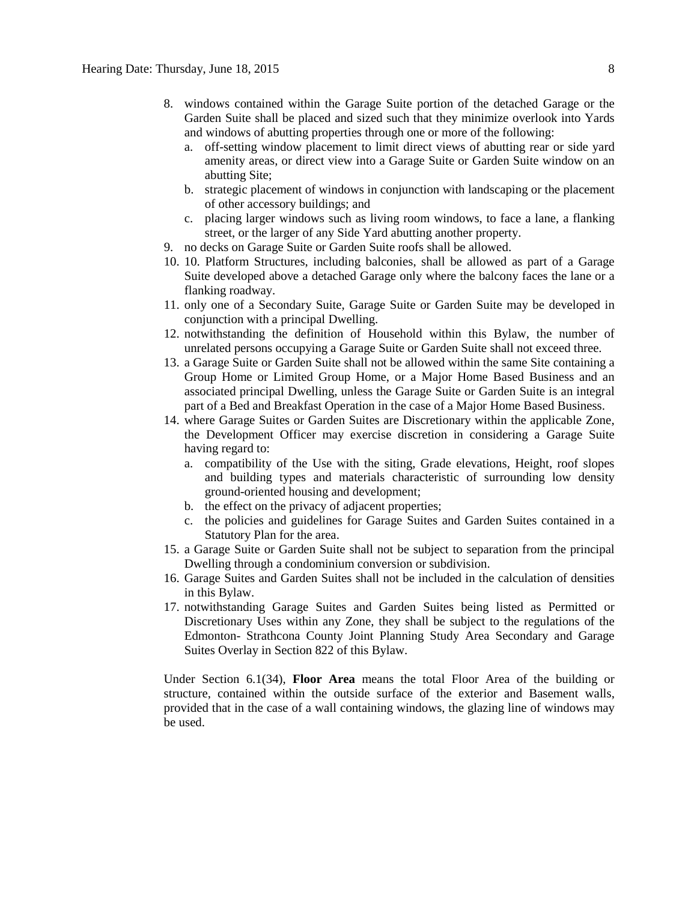- 8. windows contained within the Garage Suite portion of the detached Garage or the Garden Suite shall be placed and sized such that they minimize overlook into Yards and windows of abutting properties through one or more of the following:
	- a. off-setting window placement to limit direct views of abutting rear or side yard amenity areas, or direct view into a Garage Suite or Garden Suite window on an abutting Site;
	- b. strategic placement of windows in conjunction with landscaping or the placement of other accessory buildings; and
	- c. placing larger windows such as living room windows, to face a lane, a flanking street, or the larger of any Side Yard abutting another property.
- 9. no decks on Garage Suite or Garden Suite roofs shall be allowed.
- 10. 10. Platform Structures, including balconies, shall be allowed as part of a Garage Suite developed above a detached Garage only where the balcony faces the lane or a flanking roadway.
- 11. only one of a Secondary Suite, Garage Suite or Garden Suite may be developed in conjunction with a principal Dwelling.
- 12. notwithstanding the definition of Household within this Bylaw, the number of unrelated persons occupying a Garage Suite or Garden Suite shall not exceed three.
- 13. a Garage Suite or Garden Suite shall not be allowed within the same Site containing a Group Home or Limited Group Home, or a Major Home Based Business and an associated principal Dwelling, unless the Garage Suite or Garden Suite is an integral part of a Bed and Breakfast Operation in the case of a Major Home Based Business.
- 14. where Garage Suites or Garden Suites are Discretionary within the applicable Zone, the Development Officer may exercise discretion in considering a Garage Suite having regard to:
	- a. compatibility of the Use with the siting, Grade elevations, Height, roof slopes and building types and materials characteristic of surrounding low density ground-oriented housing and development;
	- b. the effect on the privacy of adjacent properties;
	- c. the policies and guidelines for Garage Suites and Garden Suites contained in a Statutory Plan for the area.
- 15. a Garage Suite or Garden Suite shall not be subject to separation from the principal Dwelling through a condominium conversion or subdivision.
- 16. Garage Suites and Garden Suites shall not be included in the calculation of densities in this Bylaw.
- 17. notwithstanding Garage Suites and Garden Suites being listed as Permitted or Discretionary Uses within any Zone, they shall be subject to the regulations of the Edmonton- Strathcona County Joint Planning Study Area Secondary and Garage Suites Overlay in [Section 822](http://webdocs.edmonton.ca/InfraPlan/zoningbylaw/ZoningBylaw/Part2/Overlays/822_822_Edmonton_Strathcona_County_Joint_Planning_Study_Area_Secondary_and_Garage_Suites_Overlay.htm) of this Bylaw.

Under Section 6.1(34), **Floor Area** means the total Floor Area of the building or structure, contained within the outside surface of the exterior and Basement walls, provided that in the case of a wall containing windows, the glazing line of windows may be used.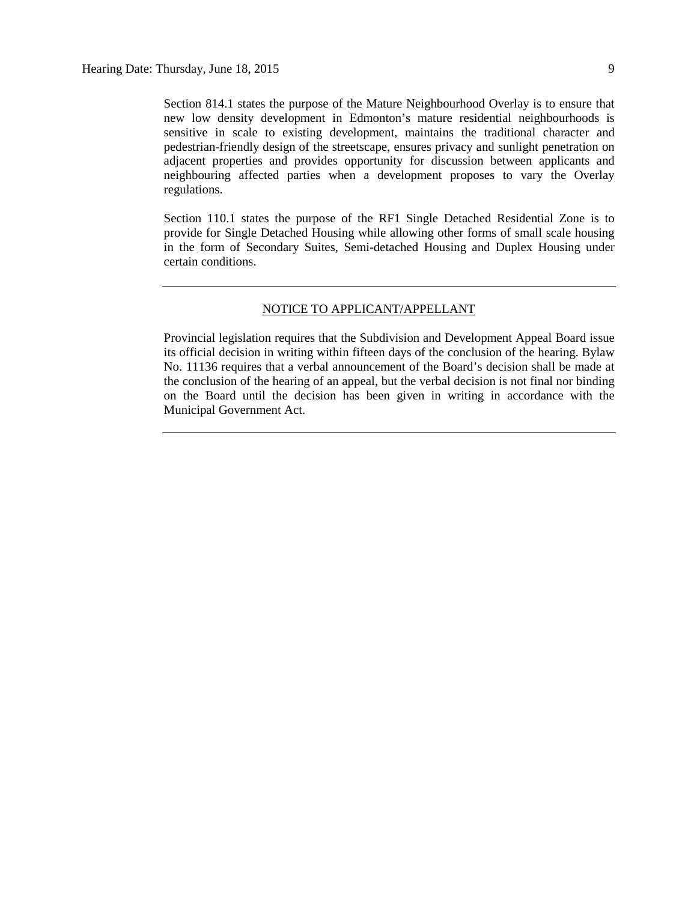Section 814.1 states the purpose of the Mature Neighbourhood Overlay is to ensure that new low density development in Edmonton's mature residential neighbourhoods is sensitive in scale to existing development, maintains the traditional character and pedestrian-friendly design of the streetscape, ensures privacy and sunlight penetration on adjacent properties and provides opportunity for discussion between applicants and neighbouring affected parties when a development proposes to vary the Overlay regulations.

Section 110.1 states the purpose of the RF1 Single Detached Residential Zone is to provide for Single Detached Housing while allowing other forms of small scale housing in the form of Secondary Suites, Semi-detached Housing and Duplex Housing under certain conditions.

#### NOTICE TO APPLICANT/APPELLANT

Provincial legislation requires that the Subdivision and Development Appeal Board issue its official decision in writing within fifteen days of the conclusion of the hearing. Bylaw No. 11136 requires that a verbal announcement of the Board's decision shall be made at the conclusion of the hearing of an appeal, but the verbal decision is not final nor binding on the Board until the decision has been given in writing in accordance with the Municipal Government Act.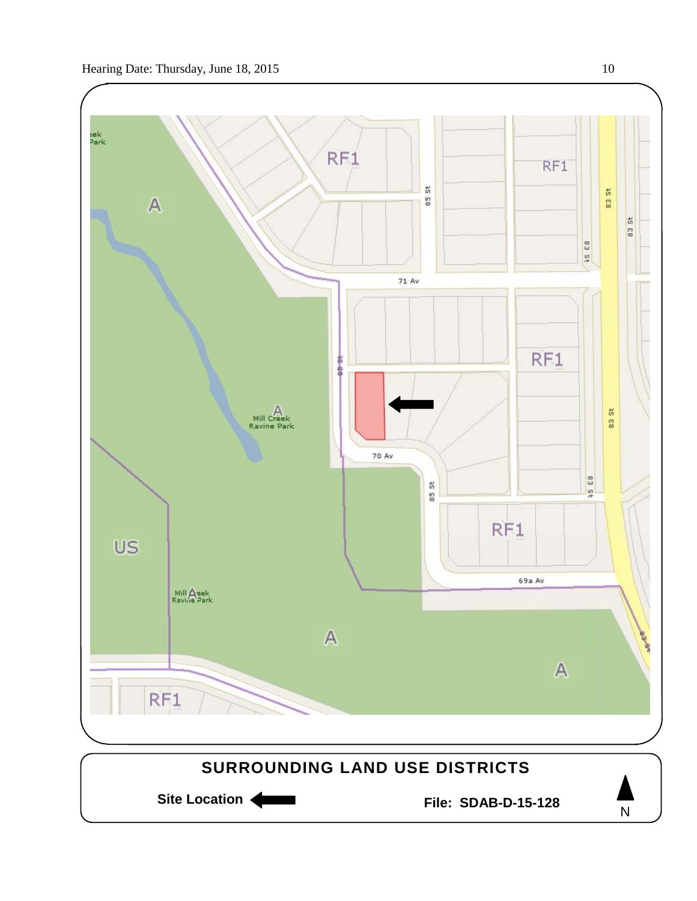

Site Location **Community Contracts** File: SDAB-D-15-128

N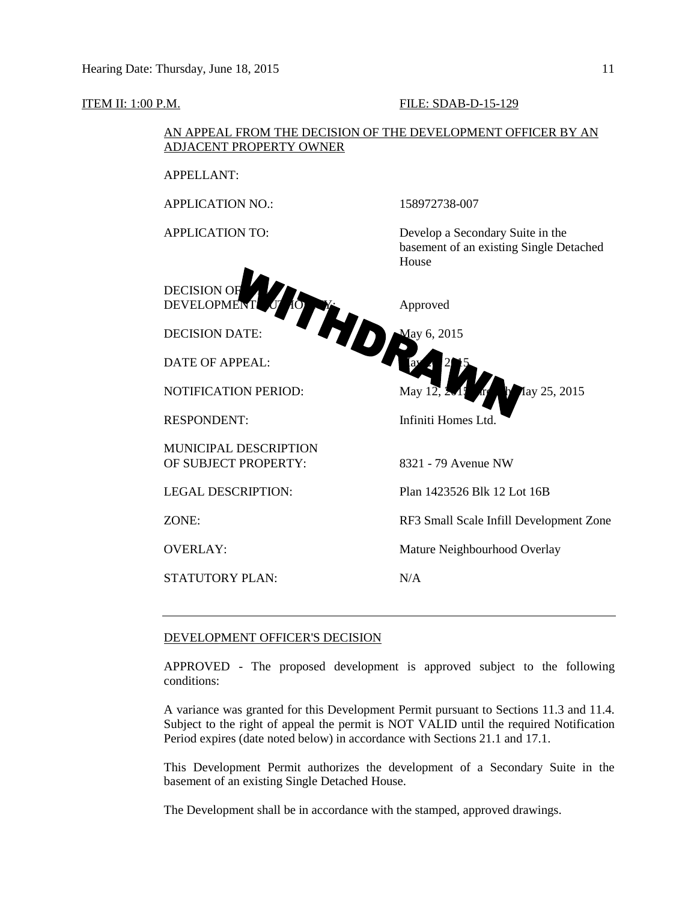#### **ITEM II: 1:00 P.M. FILE: SDAB-D-15-129**

#### AN APPEAL FROM THE DECISION OF THE DEVELOPMENT OFFICER BY AN ADJACENT PROPERTY OWNER

APPELLANT:

APPLICATION NO.: 158972738-007



DATE OF APPEAL: May 2015

MUNICIPAL DESCRIPTION OF SUBJECT PROPERTY: 8321 - 79 Avenue NW

LEGAL DESCRIPTION: Plan 1423526 Blk 12 Lot 16B

STATUTORY PLAN: N/A

APPLICATION TO: Develop a Secondary Suite in the basement of an existing Single Detached House



ZONE: RF3 Small Scale Infill Development Zone

OVERLAY: Mature Neighbourhood Overlay

#### DEVELOPMENT OFFICER'S DECISION

APPROVED - The proposed development is approved subject to the following conditions:

A variance was granted for this Development Permit pursuant to Sections 11.3 and 11.4. Subject to the right of appeal the permit is NOT VALID until the required Notification Period expires (date noted below) in accordance with Sections 21.1 and 17.1.

This Development Permit authorizes the development of a Secondary Suite in the basement of an existing Single Detached House.

The Development shall be in accordance with the stamped, approved drawings.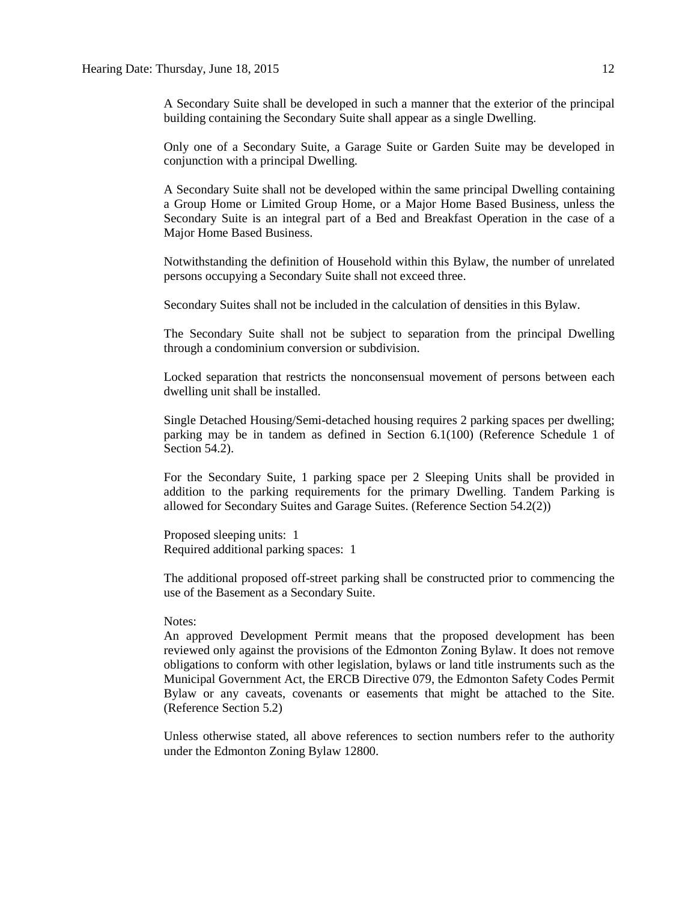A Secondary Suite shall be developed in such a manner that the exterior of the principal building containing the Secondary Suite shall appear as a single Dwelling.

Only one of a Secondary Suite, a Garage Suite or Garden Suite may be developed in conjunction with a principal Dwelling.

A Secondary Suite shall not be developed within the same principal Dwelling containing a Group Home or Limited Group Home, or a Major Home Based Business, unless the Secondary Suite is an integral part of a Bed and Breakfast Operation in the case of a Major Home Based Business.

Notwithstanding the definition of Household within this Bylaw, the number of unrelated persons occupying a Secondary Suite shall not exceed three.

Secondary Suites shall not be included in the calculation of densities in this Bylaw.

The Secondary Suite shall not be subject to separation from the principal Dwelling through a condominium conversion or subdivision.

Locked separation that restricts the nonconsensual movement of persons between each dwelling unit shall be installed.

Single Detached Housing/Semi-detached housing requires 2 parking spaces per dwelling; parking may be in tandem as defined in Section 6.1(100) (Reference Schedule 1 of Section 54.2).

For the Secondary Suite, 1 parking space per 2 Sleeping Units shall be provided in addition to the parking requirements for the primary Dwelling. Tandem Parking is allowed for Secondary Suites and Garage Suites. (Reference Section 54.2(2))

Proposed sleeping units: 1 Required additional parking spaces: 1

The additional proposed off-street parking shall be constructed prior to commencing the use of the Basement as a Secondary Suite.

#### Notes:

An approved Development Permit means that the proposed development has been reviewed only against the provisions of the Edmonton Zoning Bylaw. It does not remove obligations to conform with other legislation, bylaws or land title instruments such as the Municipal Government Act, the ERCB Directive 079, the Edmonton Safety Codes Permit Bylaw or any caveats, covenants or easements that might be attached to the Site. (Reference Section 5.2)

Unless otherwise stated, all above references to section numbers refer to the authority under the Edmonton Zoning Bylaw 12800.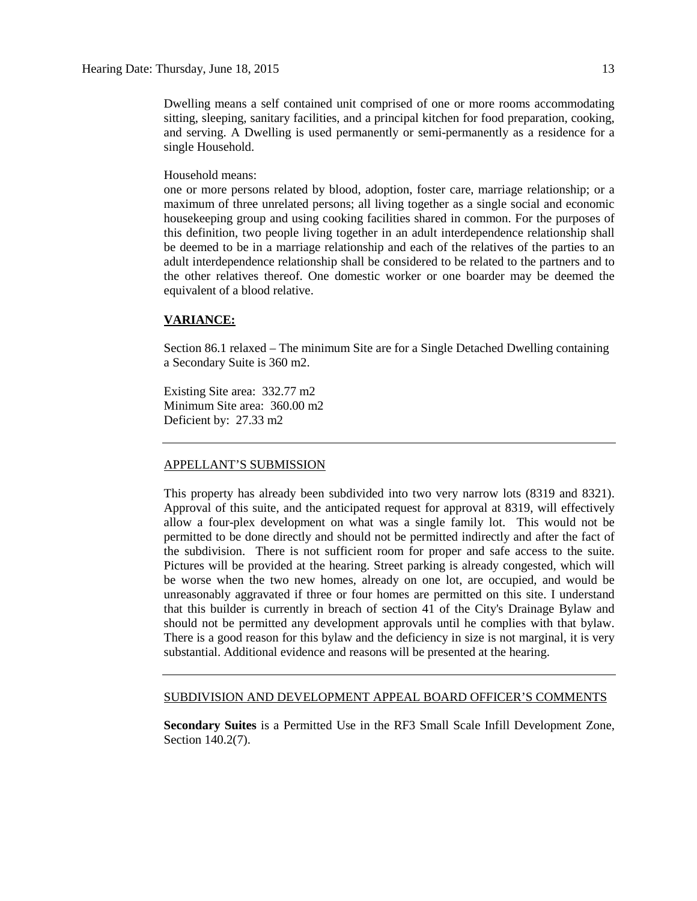Dwelling means a self contained unit comprised of one or more rooms accommodating sitting, sleeping, sanitary facilities, and a principal kitchen for food preparation, cooking, and serving. A Dwelling is used permanently or semi-permanently as a residence for a single Household.

#### Household means:

one or more persons related by blood, adoption, foster care, marriage relationship; or a maximum of three unrelated persons; all living together as a single social and economic housekeeping group and using cooking facilities shared in common. For the purposes of this definition, two people living together in an adult interdependence relationship shall be deemed to be in a marriage relationship and each of the relatives of the parties to an adult interdependence relationship shall be considered to be related to the partners and to the other relatives thereof. One domestic worker or one boarder may be deemed the equivalent of a blood relative.

#### **VARIANCE:**

Section 86.1 relaxed – The minimum Site are for a Single Detached Dwelling containing a Secondary Suite is 360 m2.

Existing Site area: 332.77 m2 Minimum Site area: 360.00 m2 Deficient by: 27.33 m2

#### APPELLANT'S SUBMISSION

This property has already been subdivided into two very narrow lots (8319 and 8321). Approval of this suite, and the anticipated request for approval at 8319, will effectively allow a four-plex development on what was a single family lot. This would not be permitted to be done directly and should not be permitted indirectly and after the fact of the subdivision. There is not sufficient room for proper and safe access to the suite. Pictures will be provided at the hearing. Street parking is already congested, which will be worse when the two new homes, already on one lot, are occupied, and would be unreasonably aggravated if three or four homes are permitted on this site. I understand that this builder is currently in breach of section 41 of the City's Drainage Bylaw and should not be permitted any development approvals until he complies with that bylaw. There is a good reason for this bylaw and the deficiency in size is not marginal, it is very substantial. Additional evidence and reasons will be presented at the hearing.

#### SUBDIVISION AND DEVELOPMENT APPEAL BOARD OFFICER'S COMMENTS

**Secondary Suites** is a Permitted Use in the RF3 Small Scale Infill Development Zone, Section 140.2(7).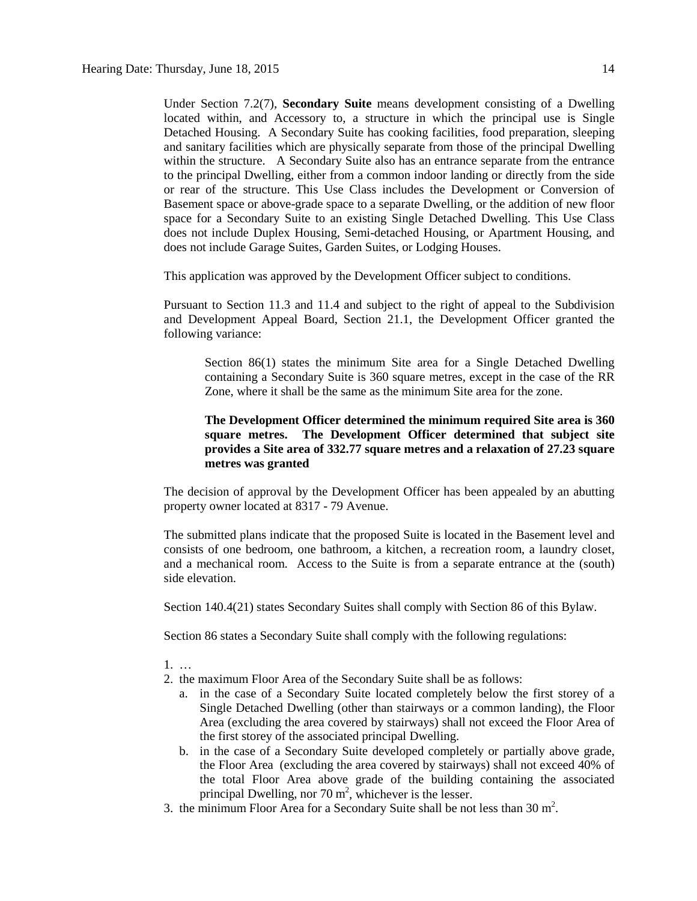Under Section 7.2(7), **Secondary Suite** means development consisting of a Dwelling located within, and Accessory to, a structure in which the principal use is Single Detached Housing. A Secondary Suite has cooking facilities, food preparation, sleeping and sanitary facilities which are physically separate from those of the principal Dwelling within the structure. A Secondary Suite also has an entrance separate from the entrance to the principal Dwelling, either from a common indoor landing or directly from the side or rear of the structure. This Use Class includes the Development or Conversion of Basement space or above-grade space to a separate Dwelling, or the addition of new floor space for a Secondary Suite to an existing Single Detached Dwelling. This Use Class does not include Duplex Housing, Semi-detached Housing, or Apartment Housing, and does not include Garage Suites, Garden Suites, or Lodging Houses.

This application was approved by the Development Officer subject to conditions.

Pursuant to Section 11.3 and 11.4 and subject to the right of appeal to the Subdivision and Development Appeal Board, Section 21.1, the Development Officer granted the following variance:

Section 86(1) states the minimum Site area for a Single Detached Dwelling containing a Secondary Suite is 360 square metres, except in the case of the RR Zone, where it shall be the same as the minimum Site area for the zone.

### **The Development Officer determined the minimum required Site area is 360 square metres. The Development Officer determined that subject site provides a Site area of 332.77 square metres and a relaxation of 27.23 square metres was granted**

The decision of approval by the Development Officer has been appealed by an abutting property owner located at 8317 - 79 Avenue.

The submitted plans indicate that the proposed Suite is located in the Basement level and consists of one bedroom, one bathroom, a kitchen, a recreation room, a laundry closet, and a mechanical room. Access to the Suite is from a separate entrance at the (south) side elevation.

Section 140.4(21) states Secondary Suites shall comply with Section 86 of this Bylaw.

Section 86 states a Secondary Suite shall comply with the following regulations:

- 1. …
- 2. the maximum Floor Area of the Secondary Suite shall be as follows:
	- a. in the case of a Secondary Suite located completely below the first storey of a Single Detached Dwelling (other than stairways or a common landing), the Floor Area (excluding the area covered by stairways) shall not exceed the Floor Area of the first storey of the associated principal Dwelling.
	- b. in the case of a Secondary Suite developed completely or partially above grade, the Floor Area (excluding the area covered by stairways) shall not exceed 40% of the total Floor Area above grade of the building containing the associated principal Dwelling, nor  $70 \text{ m}^2$ , whichever is the lesser.
- 3. the minimum Floor Area for a Secondary Suite shall be not less than  $30 \text{ m}^2$ .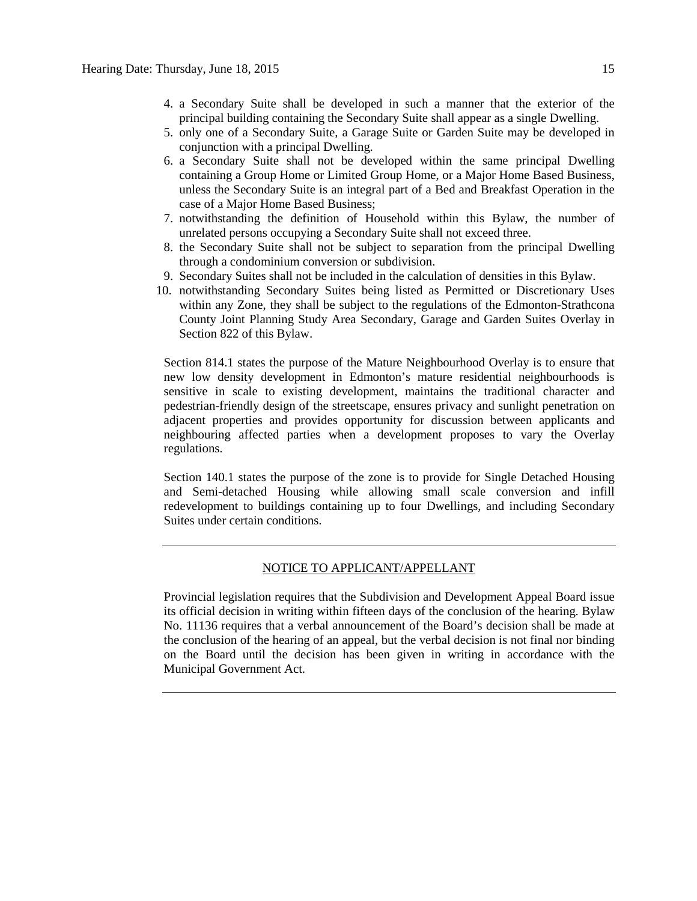- 4. a Secondary Suite shall be developed in such a manner that the exterior of the principal building containing the Secondary Suite shall appear as a single Dwelling.
- 5. only one of a Secondary Suite, a Garage Suite or Garden Suite may be developed in conjunction with a principal Dwelling.
- 6. a Secondary Suite shall not be developed within the same principal Dwelling containing a Group Home or Limited Group Home, or a Major Home Based Business, unless the Secondary Suite is an integral part of a Bed and Breakfast Operation in the case of a Major Home Based Business;
- 7. notwithstanding the definition of Household within this Bylaw, the number of unrelated persons occupying a Secondary Suite shall not exceed three.
- 8. the Secondary Suite shall not be subject to separation from the principal Dwelling through a condominium conversion or subdivision.
- 9. Secondary Suites shall not be included in the calculation of densities in this Bylaw.
- 10. notwithstanding Secondary Suites being listed as Permitted or Discretionary Uses within any Zone, they shall be subject to the regulations of the Edmonton-Strathcona County Joint Planning Study Area Secondary, Garage and Garden Suites Overlay in Section 822 of this Bylaw.

Section 814.1 states the purpose of the Mature Neighbourhood Overlay is to ensure that new low density development in Edmonton's mature residential neighbourhoods is sensitive in scale to existing development, maintains the traditional character and pedestrian-friendly design of the streetscape, ensures privacy and sunlight penetration on adjacent properties and provides opportunity for discussion between applicants and neighbouring affected parties when a development proposes to vary the Overlay regulations.

Section 140.1 states the purpose of the zone is to provide for Single Detached Housing and Semi-detached Housing while allowing small scale conversion and infill redevelopment to buildings containing up to four Dwellings, and including Secondary Suites under certain conditions.

#### NOTICE TO APPLICANT/APPELLANT

Provincial legislation requires that the Subdivision and Development Appeal Board issue its official decision in writing within fifteen days of the conclusion of the hearing. Bylaw No. 11136 requires that a verbal announcement of the Board's decision shall be made at the conclusion of the hearing of an appeal, but the verbal decision is not final nor binding on the Board until the decision has been given in writing in accordance with the Municipal Government Act.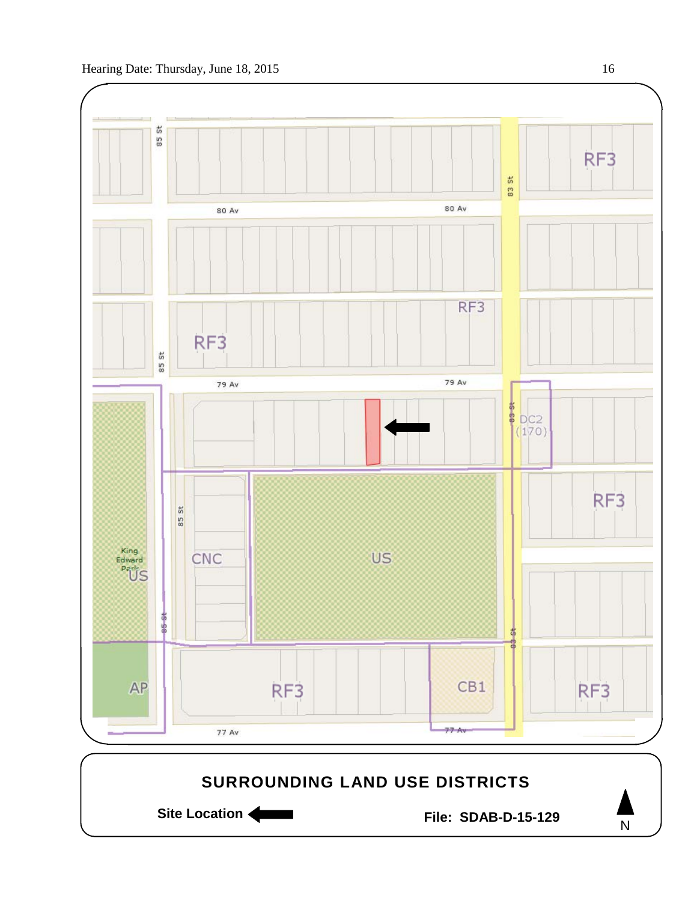